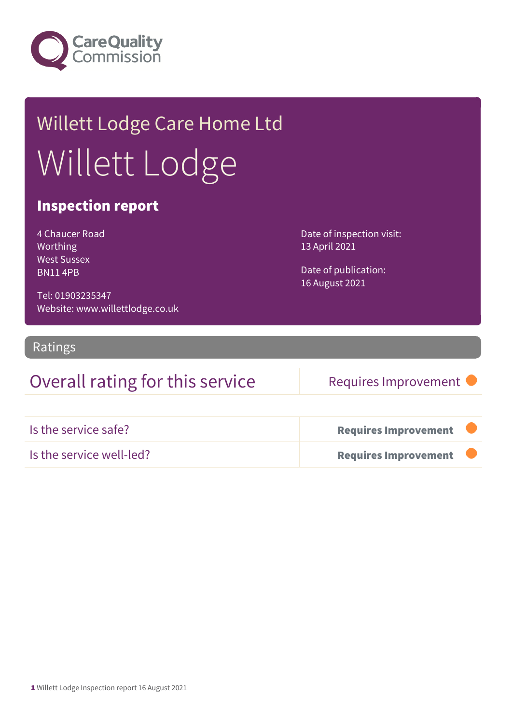

## Willett Lodge Care Home Ltd Willett Lodge

#### Inspection report

| 4 Chaucer Road     |
|--------------------|
| Worthing           |
| <b>West Sussex</b> |
| <b>BN114PB</b>     |

Tel: 01903235347 Website: www.willettlodge.co.uk Date of inspection visit: 13 April 2021

Date of publication: 16 August 2021

#### Ratings

### Overall rating for this service Requires Improvement

| Is the service safe?     | <b>Requires Improvement</b> |  |
|--------------------------|-----------------------------|--|
| Is the service well-led? | <b>Requires Improvement</b> |  |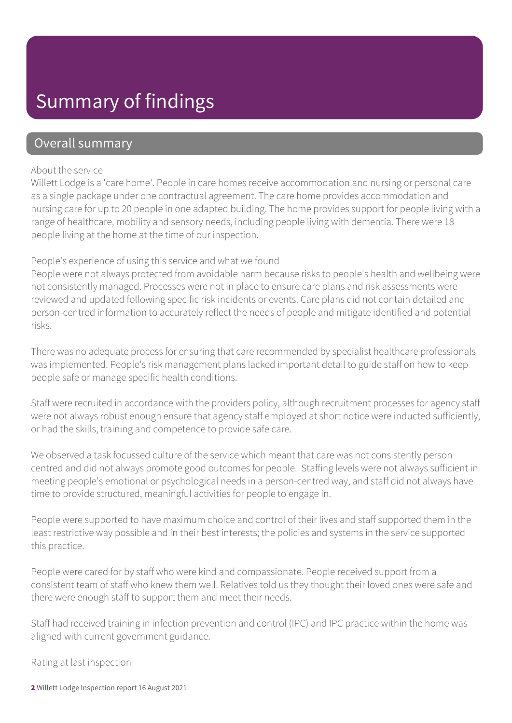## Summary of findings

#### Overall summary

#### About the service

Willett Lodge is a 'care home'. People in care homes receive accommodation and nursing or personal care as a single package under one contractual agreement. The care home provides accommodation and nursing care for up to 20 people in one adapted building. The home provides support for people living with a range of healthcare, mobility and sensory needs, including people living with dementia. There were 18 people living at the home at the time of our inspection.

#### People's experience of using this service and what we found

People were not always protected from avoidable harm because risks to people's health and wellbeing were not consistently managed. Processes were not in place to ensure care plans and risk assessments were reviewed and updated following specific risk incidents or events. Care plans did not contain detailed and person-centred information to accurately reflect the needs of people and mitigate identified and potential risks.

There was no adequate process for ensuring that care recommended by specialist healthcare professionals was implemented. People's risk management plans lacked important detail to guide staff on how to keep people safe or manage specific health conditions.

Staff were recruited in accordance with the providers policy, although recruitment processes for agency staff were not always robust enough ensure that agency staff employed at short notice were inducted sufficiently, or had the skills, training and competence to provide safe care.

We observed a task focussed culture of the service which meant that care was not consistently person centred and did not always promote good outcomes for people. Staffing levels were not always sufficient in meeting people's emotional or psychological needs in a person-centred way, and staff did not always have time to provide structured, meaningful activities for people to engage in.

People were supported to have maximum choice and control of their lives and staff supported them in the least restrictive way possible and in their best interests; the policies and systems in the service supported this practice.

People were cared for by staff who were kind and compassionate. People received support from a consistent team of staff who knew them well. Relatives told us they thought their loved ones were safe and there were enough staff to support them and meet their needs.

Staff had received training in infection prevention and control (IPC) and IPC practice within the home was aligned with current government guidance.

Rating at last inspection

2 Willett Lodge Inspection report 16 August 2021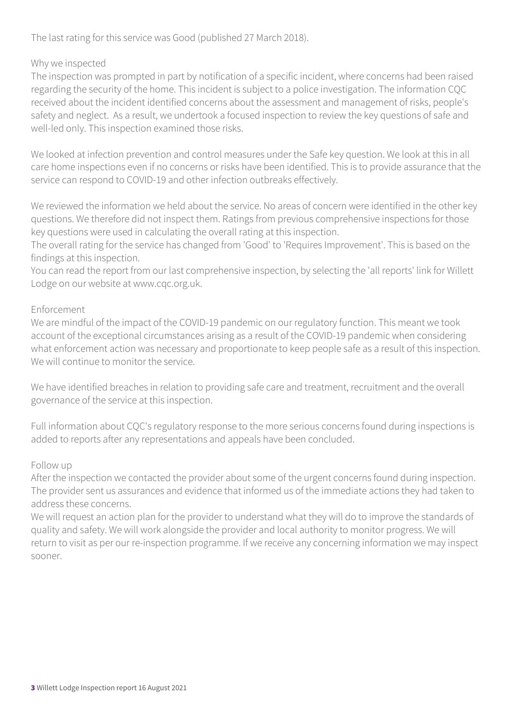The last rating for this service was Good (published 27 March 2018).

#### Why we inspected

The inspection was prompted in part by notification of a specific incident, where concerns had been raised regarding the security of the home. This incident is subject to a police investigation. The information CQC received about the incident identified concerns about the assessment and management of risks, people's safety and neglect. As a result, we undertook a focused inspection to review the key questions of safe and well-led only. This inspection examined those risks.

We looked at infection prevention and control measures under the Safe key question. We look at this in all care home inspections even if no concerns or risks have been identified. This is to provide assurance that the service can respond to COVID-19 and other infection outbreaks effectively.

We reviewed the information we held about the service. No areas of concern were identified in the other key questions. We therefore did not inspect them. Ratings from previous comprehensive inspections for those key questions were used in calculating the overall rating at this inspection.

The overall rating for the service has changed from 'Good' to 'Requires Improvement'. This is based on the findings at this inspection.

You can read the report from our last comprehensive inspection, by selecting the 'all reports' link for Willett Lodge on our website at www.cqc.org.uk.

#### Enforcement

We are mindful of the impact of the COVID-19 pandemic on our regulatory function. This meant we took account of the exceptional circumstances arising as a result of the COVID-19 pandemic when considering what enforcement action was necessary and proportionate to keep people safe as a result of this inspection. We will continue to monitor the service.

We have identified breaches in relation to providing safe care and treatment, recruitment and the overall governance of the service at this inspection.

Full information about CQC's regulatory response to the more serious concerns found during inspections is added to reports after any representations and appeals have been concluded.

#### Follow up

After the inspection we contacted the provider about some of the urgent concerns found during inspection. The provider sent us assurances and evidence that informed us of the immediate actions they had taken to address these concerns.

We will request an action plan for the provider to understand what they will do to improve the standards of quality and safety. We will work alongside the provider and local authority to monitor progress. We will return to visit as per our re-inspection programme. If we receive any concerning information we may inspect sooner.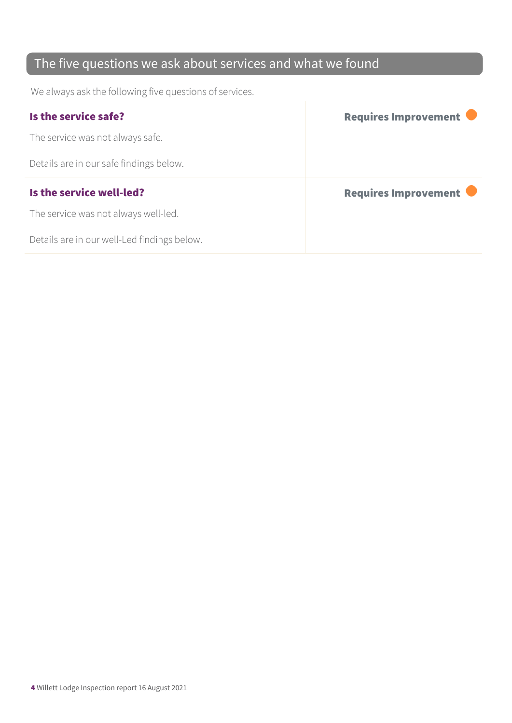## The five questions we ask about services and what we found

We always ask the following five questions of services.

| Is the service safe?                    | Requires Improvement |
|-----------------------------------------|----------------------|
| The service was not always safe.        |                      |
| Details are in our safe findings below. |                      |
|                                         |                      |
| Is the service well-led?                | Requires Improvement |
| The service was not always well-led.    |                      |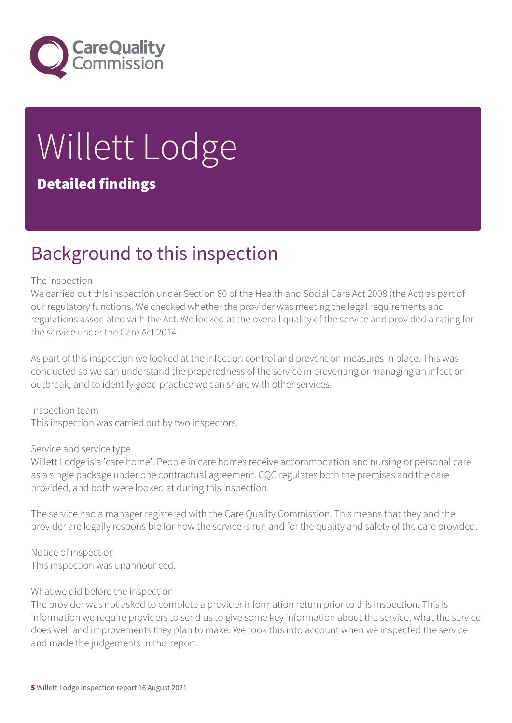

# Willett Lodge

#### Detailed findings

## Background to this inspection

#### The inspection

We carried out this inspection under Section 60 of the Health and Social Care Act 2008 (the Act) as part of our regulatory functions. We checked whether the provider was meeting the legal requirements and regulations associated with the Act. We looked at the overall quality of the service and provided a rating for the service under the Care Act 2014.

As part of this inspection we looked at the infection control and prevention measures in place. This was conducted so we can understand the preparedness of the service in preventing or managing an infection outbreak, and to identify good practice we can share with other services.

Inspection team This inspection was carried out by two inspectors.

#### Service and service type

Willett Lodge is a 'care home'. People in care homes receive accommodation and nursing or personal care as a single package under one contractual agreement. CQC regulates both the premises and the care provided, and both were looked at during this inspection.

The service had a manager registered with the Care Quality Commission. This means that they and the provider are legally responsible for how the service is run and for the quality and safety of the care provided.

Notice of inspection This inspection was unannounced.

#### What we did before the inspection

The provider was not asked to complete a provider information return prior to this inspection. This is information we require providers to send us to give some key information about the service, what the service does well and improvements they plan to make. We took this into account when we inspected the service and made the judgements in this report.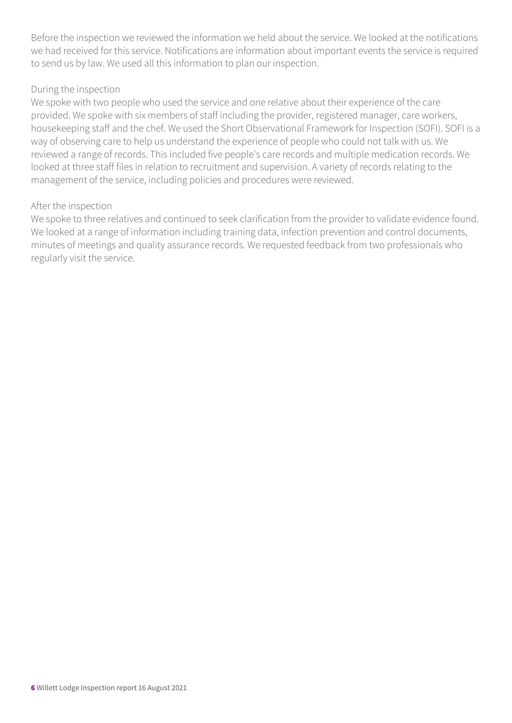Before the inspection we reviewed the information we held about the service. We looked at the notifications we had received for this service. Notifications are information about important events the service is required to send us by law. We used all this information to plan our inspection.

#### During the inspection

We spoke with two people who used the service and one relative about their experience of the care provided. We spoke with six members of staff including the provider, registered manager, care workers, housekeeping staff and the chef. We used the Short Observational Framework for Inspection (SOFI). SOFI is a way of observing care to help us understand the experience of people who could not talk with us. We reviewed a range of records. This included five people's care records and multiple medication records. We looked at three staff files in relation to recruitment and supervision. A variety of records relating to the management of the service, including policies and procedures were reviewed.

#### After the inspection

We spoke to three relatives and continued to seek clarification from the provider to validate evidence found. We looked at a range of information including training data, infection prevention and control documents, minutes of meetings and quality assurance records. We requested feedback from two professionals who regularly visit the service.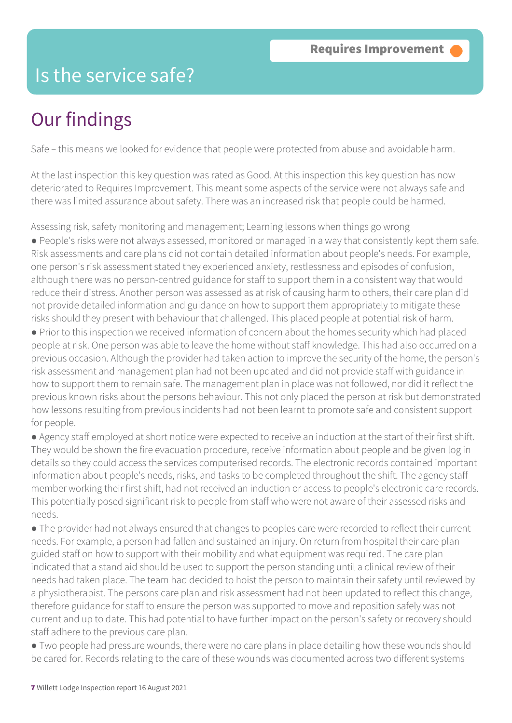## Is the service safe?

## Our findings

Safe – this means we looked for evidence that people were protected from abuse and avoidable harm.

At the last inspection this key question was rated as Good. At this inspection this key question has now deteriorated to Requires Improvement. This meant some aspects of the service were not always safe and there was limited assurance about safety. There was an increased risk that people could be harmed.

Assessing risk, safety monitoring and management; Learning lessons when things go wrong ● People's risks were not always assessed, monitored or managed in a way that consistently kept them safe. Risk assessments and care plans did not contain detailed information about people's needs. For example, one person's risk assessment stated they experienced anxiety, restlessness and episodes of confusion, although there was no person-centred guidance for staff to support them in a consistent way that would reduce their distress. Another person was assessed as at risk of causing harm to others, their care plan did not provide detailed information and guidance on how to support them appropriately to mitigate these risks should they present with behaviour that challenged. This placed people at potential risk of harm.

● Prior to this inspection we received information of concern about the homes security which had placed people at risk. One person was able to leave the home without staff knowledge. This had also occurred on a previous occasion. Although the provider had taken action to improve the security of the home, the person's risk assessment and management plan had not been updated and did not provide staff with guidance in how to support them to remain safe. The management plan in place was not followed, nor did it reflect the previous known risks about the persons behaviour. This not only placed the person at risk but demonstrated how lessons resulting from previous incidents had not been learnt to promote safe and consistent support for people.

● Agency staff employed at short notice were expected to receive an induction at the start of their first shift. They would be shown the fire evacuation procedure, receive information about people and be given log in details so they could access the services computerised records. The electronic records contained important information about people's needs, risks, and tasks to be completed throughout the shift. The agency staff member working their first shift, had not received an induction or access to people's electronic care records. This potentially posed significant risk to people from staff who were not aware of their assessed risks and needs.

● The provider had not always ensured that changes to peoples care were recorded to reflect their current needs. For example, a person had fallen and sustained an injury. On return from hospital their care plan guided staff on how to support with their mobility and what equipment was required. The care plan indicated that a stand aid should be used to support the person standing until a clinical review of their needs had taken place. The team had decided to hoist the person to maintain their safety until reviewed by a physiotherapist. The persons care plan and risk assessment had not been updated to reflect this change, therefore guidance for staff to ensure the person was supported to move and reposition safely was not current and up to date. This had potential to have further impact on the person's safety or recovery should staff adhere to the previous care plan.

● Two people had pressure wounds, there were no care plans in place detailing how these wounds should be cared for. Records relating to the care of these wounds was documented across two different systems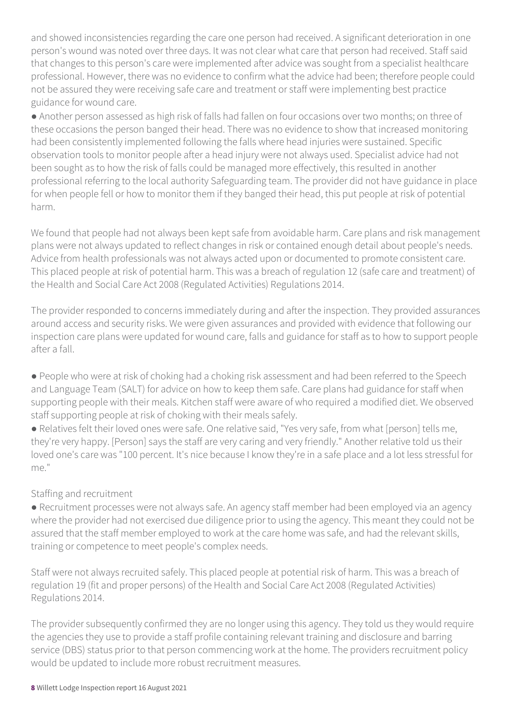and showed inconsistencies regarding the care one person had received. A significant deterioration in one person's wound was noted over three days. It was not clear what care that person had received. Staff said that changes to this person's care were implemented after advice was sought from a specialist healthcare professional. However, there was no evidence to confirm what the advice had been; therefore people could not be assured they were receiving safe care and treatment or staff were implementing best practice guidance for wound care.

● Another person assessed as high risk of falls had fallen on four occasions over two months; on three of these occasions the person banged their head. There was no evidence to show that increased monitoring had been consistently implemented following the falls where head injuries were sustained. Specific observation tools to monitor people after a head injury were not always used. Specialist advice had not been sought as to how the risk of falls could be managed more effectively, this resulted in another professional referring to the local authority Safeguarding team. The provider did not have guidance in place for when people fell or how to monitor them if they banged their head, this put people at risk of potential harm.

We found that people had not always been kept safe from avoidable harm. Care plans and risk management plans were not always updated to reflect changes in risk or contained enough detail about people's needs. Advice from health professionals was not always acted upon or documented to promote consistent care. This placed people at risk of potential harm. This was a breach of regulation 12 (safe care and treatment) of the Health and Social Care Act 2008 (Regulated Activities) Regulations 2014.

The provider responded to concerns immediately during and after the inspection. They provided assurances around access and security risks. We were given assurances and provided with evidence that following our inspection care plans were updated for wound care, falls and guidance for staff as to how to support people after a fall.

● People who were at risk of choking had a choking risk assessment and had been referred to the Speech and Language Team (SALT) for advice on how to keep them safe. Care plans had guidance for staff when supporting people with their meals. Kitchen staff were aware of who required a modified diet. We observed staff supporting people at risk of choking with their meals safely.

● Relatives felt their loved ones were safe. One relative said, "Yes very safe, from what [person] tells me, they're very happy. [Person] says the staff are very caring and very friendly." Another relative told us their loved one's care was "100 percent. It's nice because I know they're in a safe place and a lot less stressful for me."

#### Staffing and recruitment

● Recruitment processes were not always safe. An agency staff member had been employed via an agency where the provider had not exercised due diligence prior to using the agency. This meant they could not be assured that the staff member employed to work at the care home was safe, and had the relevant skills, training or competence to meet people's complex needs.

Staff were not always recruited safely. This placed people at potential risk of harm. This was a breach of regulation 19 (fit and proper persons) of the Health and Social Care Act 2008 (Regulated Activities) Regulations 2014.

The provider subsequently confirmed they are no longer using this agency. They told us they would require the agencies they use to provide a staff profile containing relevant training and disclosure and barring service (DBS) status prior to that person commencing work at the home. The providers recruitment policy would be updated to include more robust recruitment measures.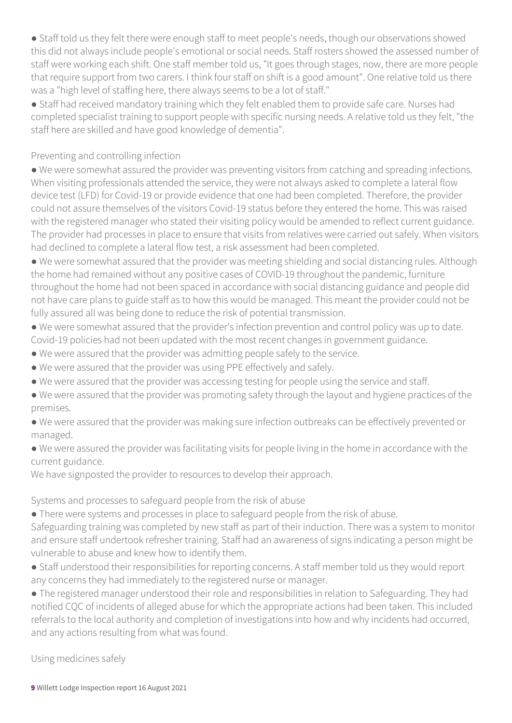● Staff told us they felt there were enough staff to meet people's needs, though our observations showed this did not always include people's emotional or social needs. Staff rosters showed the assessed number of staff were working each shift. One staff member told us, "It goes through stages, now, there are more people that require support from two carers. I think four staff on shift is a good amount". One relative told us there was a "high level of staffing here, there always seems to be a lot of staff."

● Staff had received mandatory training which they felt enabled them to provide safe care. Nurses had completed specialist training to support people with specific nursing needs. A relative told us they felt, "the staff here are skilled and have good knowledge of dementia".

#### Preventing and controlling infection

● We were somewhat assured the provider was preventing visitors from catching and spreading infections. When visiting professionals attended the service, they were not always asked to complete a lateral flow device test (LFD) for Covid-19 or provide evidence that one had been completed. Therefore, the provider could not assure themselves of the visitors Covid-19 status before they entered the home. This was raised with the registered manager who stated their visiting policy would be amended to reflect current guidance. The provider had processes in place to ensure that visits from relatives were carried out safely. When visitors had declined to complete a lateral flow test, a risk assessment had been completed.

● We were somewhat assured that the provider was meeting shielding and social distancing rules. Although the home had remained without any positive cases of COVID-19 throughout the pandemic, furniture throughout the home had not been spaced in accordance with social distancing guidance and people did not have care plans to guide staff as to how this would be managed. This meant the provider could not be fully assured all was being done to reduce the risk of potential transmission.

● We were somewhat assured that the provider's infection prevention and control policy was up to date. Covid-19 policies had not been updated with the most recent changes in government guidance.

● We were assured that the provider was admitting people safely to the service.

- We were assured that the provider was using PPE effectively and safely.
- We were assured that the provider was accessing testing for people using the service and staff.
- We were assured that the provider was promoting safety through the layout and hygiene practices of the premises.

● We were assured that the provider was making sure infection outbreaks can be effectively prevented or managed.

● We were assured the provider was facilitating visits for people living in the home in accordance with the current guidance.

We have signposted the provider to resources to develop their approach.

Systems and processes to safeguard people from the risk of abuse

• There were systems and processes in place to safeguard people from the risk of abuse.

Safeguarding training was completed by new staff as part of their induction. There was a system to monitor and ensure staff undertook refresher training. Staff had an awareness of signs indicating a person might be vulnerable to abuse and knew how to identify them.

● Staff understood their responsibilities for reporting concerns. A staff member told us they would report any concerns they had immediately to the registered nurse or manager.

● The registered manager understood their role and responsibilities in relation to Safeguarding. They had notified CQC of incidents of alleged abuse for which the appropriate actions had been taken. This included referrals to the local authority and completion of investigations into how and why incidents had occurred, and any actions resulting from what was found.

Using medicines safely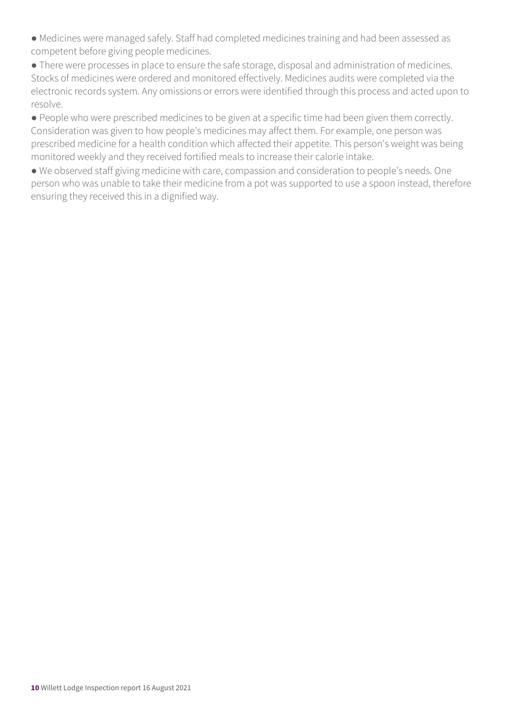● Medicines were managed safely. Staff had completed medicines training and had been assessed as competent before giving people medicines.

● There were processes in place to ensure the safe storage, disposal and administration of medicines. Stocks of medicines were ordered and monitored effectively. Medicines audits were completed via the electronic records system. Any omissions or errors were identified through this process and acted upon to resolve.

● People who were prescribed medicines to be given at a specific time had been given them correctly. Consideration was given to how people's medicines may affect them. For example, one person was prescribed medicine for a health condition which affected their appetite. This person's weight was being monitored weekly and they received fortified meals to increase their calorie intake.

● We observed staff giving medicine with care, compassion and consideration to people's needs. One person who was unable to take their medicine from a pot was supported to use a spoon instead, therefore ensuring they received this in a dignified way.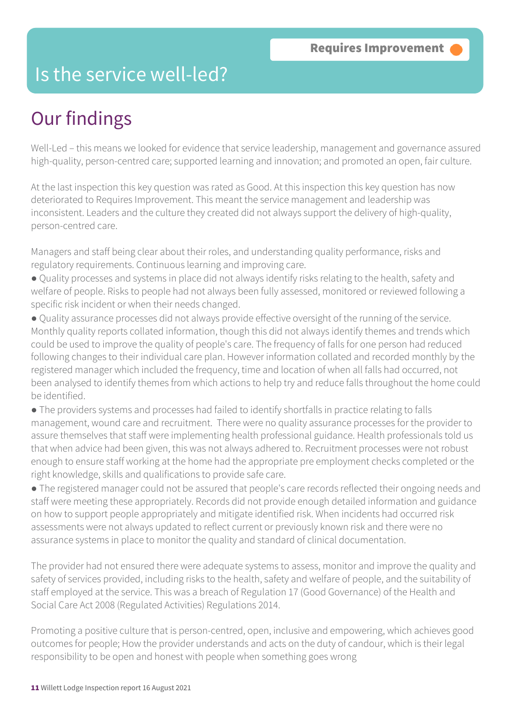## Is the service well-led?

## Our findings

Well-Led – this means we looked for evidence that service leadership, management and governance assured high-quality, person-centred care; supported learning and innovation; and promoted an open, fair culture.

At the last inspection this key question was rated as Good. At this inspection this key question has now deteriorated to Requires Improvement. This meant the service management and leadership was inconsistent. Leaders and the culture they created did not always support the delivery of high-quality, person-centred care.

Managers and staff being clear about their roles, and understanding quality performance, risks and regulatory requirements. Continuous learning and improving care.

- Quality processes and systems in place did not always identify risks relating to the health, safety and welfare of people. Risks to people had not always been fully assessed, monitored or reviewed following a specific risk incident or when their needs changed.
- Quality assurance processes did not always provide effective oversight of the running of the service. Monthly quality reports collated information, though this did not always identify themes and trends which could be used to improve the quality of people's care. The frequency of falls for one person had reduced following changes to their individual care plan. However information collated and recorded monthly by the registered manager which included the frequency, time and location of when all falls had occurred, not been analysed to identify themes from which actions to help try and reduce falls throughout the home could be identified.
- The providers systems and processes had failed to identify shortfalls in practice relating to falls management, wound care and recruitment. There were no quality assurance processes for the provider to assure themselves that staff were implementing health professional guidance. Health professionals told us that when advice had been given, this was not always adhered to. Recruitment processes were not robust enough to ensure staff working at the home had the appropriate pre employment checks completed or the right knowledge, skills and qualifications to provide safe care.
- The registered manager could not be assured that people's care records reflected their ongoing needs and staff were meeting these appropriately. Records did not provide enough detailed information and guidance on how to support people appropriately and mitigate identified risk. When incidents had occurred risk assessments were not always updated to reflect current or previously known risk and there were no assurance systems in place to monitor the quality and standard of clinical documentation.

The provider had not ensured there were adequate systems to assess, monitor and improve the quality and safety of services provided, including risks to the health, safety and welfare of people, and the suitability of staff employed at the service. This was a breach of Regulation 17 (Good Governance) of the Health and Social Care Act 2008 (Regulated Activities) Regulations 2014.

Promoting a positive culture that is person-centred, open, inclusive and empowering, which achieves good outcomes for people; How the provider understands and acts on the duty of candour, which is their legal responsibility to be open and honest with people when something goes wrong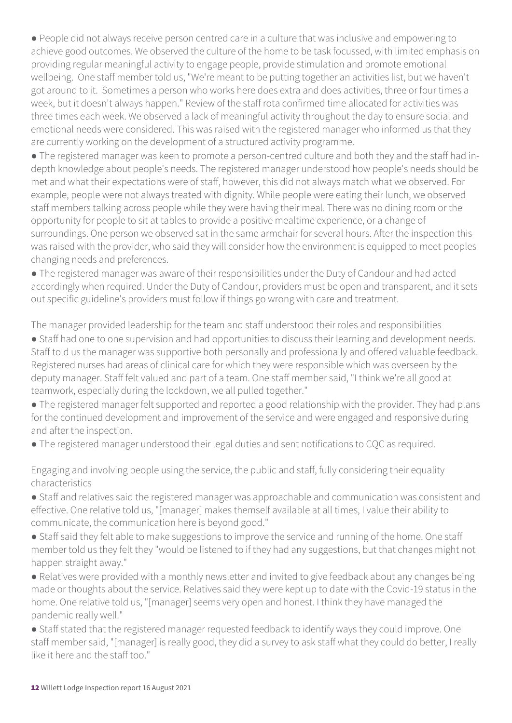● People did not always receive person centred care in a culture that was inclusive and empowering to achieve good outcomes. We observed the culture of the home to be task focussed, with limited emphasis on providing regular meaningful activity to engage people, provide stimulation and promote emotional wellbeing. One staff member told us, "We're meant to be putting together an activities list, but we haven't got around to it. Sometimes a person who works here does extra and does activities, three or four times a week, but it doesn't always happen." Review of the staff rota confirmed time allocated for activities was three times each week. We observed a lack of meaningful activity throughout the day to ensure social and emotional needs were considered. This was raised with the registered manager who informed us that they are currently working on the development of a structured activity programme.

• The registered manager was keen to promote a person-centred culture and both they and the staff had indepth knowledge about people's needs. The registered manager understood how people's needs should be met and what their expectations were of staff, however, this did not always match what we observed. For example, people were not always treated with dignity. While people were eating their lunch, we observed staff members talking across people while they were having their meal. There was no dining room or the opportunity for people to sit at tables to provide a positive mealtime experience, or a change of surroundings. One person we observed sat in the same armchair for several hours. After the inspection this was raised with the provider, who said they will consider how the environment is equipped to meet peoples changing needs and preferences.

● The registered manager was aware of their responsibilities under the Duty of Candour and had acted accordingly when required. Under the Duty of Candour, providers must be open and transparent, and it sets out specific guideline's providers must follow if things go wrong with care and treatment.

The manager provided leadership for the team and staff understood their roles and responsibilities

● Staff had one to one supervision and had opportunities to discuss their learning and development needs. Staff told us the manager was supportive both personally and professionally and offered valuable feedback. Registered nurses had areas of clinical care for which they were responsible which was overseen by the deputy manager. Staff felt valued and part of a team. One staff member said, "I think we're all good at teamwork, especially during the lockdown, we all pulled together."

● The registered manager felt supported and reported a good relationship with the provider. They had plans for the continued development and improvement of the service and were engaged and responsive during and after the inspection.

● The registered manager understood their legal duties and sent notifications to CQC as required.

Engaging and involving people using the service, the public and staff, fully considering their equality characteristics

● Staff and relatives said the registered manager was approachable and communication was consistent and effective. One relative told us, "[manager] makes themself available at all times, I value their ability to communicate, the communication here is beyond good."

• Staff said they felt able to make suggestions to improve the service and running of the home. One staff member told us they felt they "would be listened to if they had any suggestions, but that changes might not happen straight away."

● Relatives were provided with a monthly newsletter and invited to give feedback about any changes being made or thoughts about the service. Relatives said they were kept up to date with the Covid-19 status in the home. One relative told us, "[manager] seems very open and honest. I think they have managed the pandemic really well."

● Staff stated that the registered manager requested feedback to identify ways they could improve. One staff member said, "[manager] is really good, they did a survey to ask staff what they could do better, I really like it here and the staff too."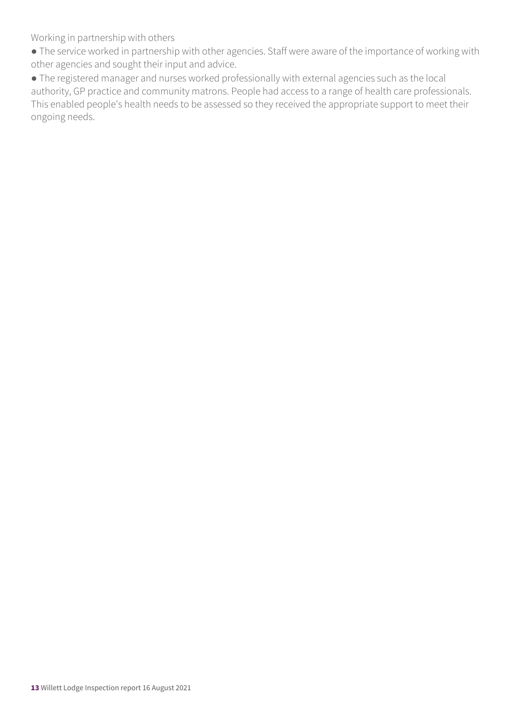Working in partnership with others

● The service worked in partnership with other agencies. Staff were aware of the importance of working with other agencies and sought their input and advice.

● The registered manager and nurses worked professionally with external agencies such as the local authority, GP practice and community matrons. People had access to a range of health care professionals. This enabled people's health needs to be assessed so they received the appropriate support to meet their ongoing needs.